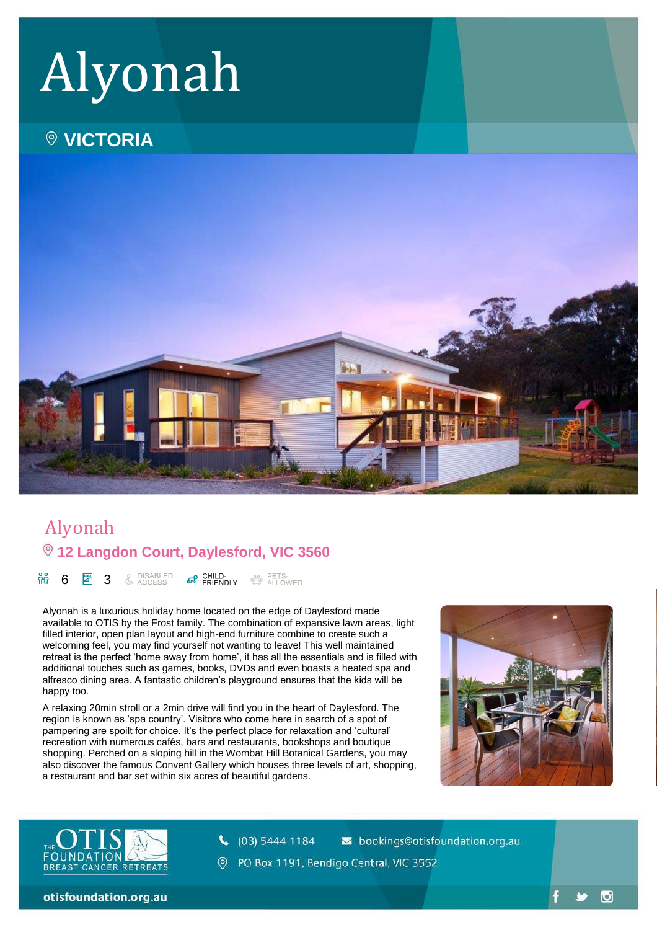# Alyonah

# **VICTORIA**



# Alyonah **12 Langdon Court, Daylesford, VIC 3560**

កំភុំ & DISABLED<br>& ACCESS **BO CHILD- CHILD-** <sup>20</sup> ALLOWED 6 团 3

Alyonah is a luxurious holiday home located on the edge of Daylesford made available to OTIS by the Frost family. The combination of expansive lawn areas, light filled interior, open plan layout and high-end furniture combine to create such a welcoming feel, you may find yourself not wanting to leave! This well maintained retreat is the perfect 'home away from home', it has all the essentials and is filled with additional touches such as games, books, DVDs and even boasts a heated spa and alfresco dining area. A fantastic children's playground ensures that the kids will be happy too.

A relaxing 20min stroll or a 2min drive will find you in the heart of Daylesford. The region is known as 'spa country'. Visitors who come here in search of a spot of pampering are spoilt for choice. It's the perfect place for relaxation and 'cultural' recreation with numerous cafés, bars and restaurants, bookshops and boutique shopping. Perched on a sloping hill in the Wombat Hill Botanical Gardens, you may also discover the famous Convent Gallery which houses three levels of art, shopping, a restaurant and bar set within six acres of beautiful gardens.



 $\bullet$ 



 $\binom{1}{6}$  (03) 5444 1184 sookings@otisfoundation.org.au

PO Box 1191, Bendigo Central, VIC 3552